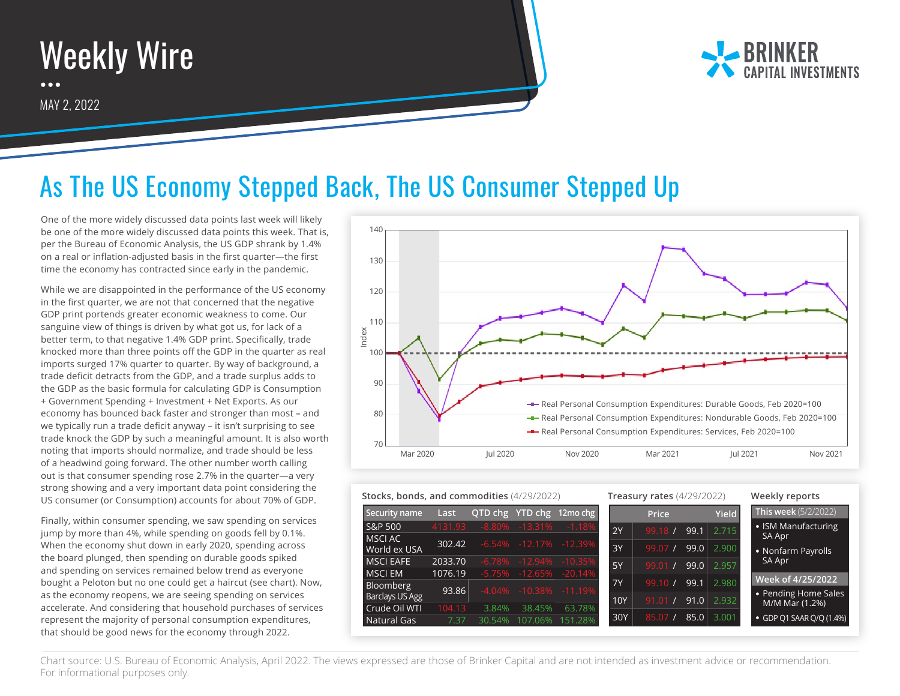



## As The US Economy Stepped Back, The US Consumer Stepped Up

One of the more widely discussed data points last week will likely be one of the more widely discussed data points this week. That is, per the Bureau of Economic Analysis, the US GDP shrank by 1.4% on a real or inflation-adjusted basis in the first quarter—the first time the economy has contracted since early in the pandemic.

While we are disappointed in the performance of the US economy in the first quarter, we are not that concerned that the negative GDP print portends greater economic weakness to come. Our sanguine view of things is driven by what got us, for lack of a better term, to that negative 1.4% GDP print. Specifically, trade knocked more than three points off the GDP in the quarter as real imports surged 17% quarter to quarter. By way of background, a trade deficit detracts from the GDP, and a trade surplus adds to the GDP as the basic formula for calculating GDP is Consumption + Government Spending + Investment + Net Exports. As our economy has bounced back faster and stronger than most – and we typically run a trade deficit anyway – it isn't surprising to see trade knock the GDP by such a meaningful amount. It is also worth noting that imports should normalize, and trade should be less of a headwind going forward. The other number worth calling out is that consumer spending rose 2.7% in the quarter—a very strong showing and a very important data point considering the US consumer (or Consumption) accounts for about 70% of GDP.

Finally, within consumer spending, we saw spending on services jump by more than 4%, while spending on goods fell by 0.1%. When the economy shut down in early 2020, spending across the board plunged, then spending on durable goods spiked and spending on services remained below trend as everyone bought a Peloton but no one could get a haircut (see chart). Now, as the economy reopens, we are seeing spending on services accelerate. And considering that household purchases of services represent the majority of personal consumption expenditures, that should be good news for the economy through 2022.



## **Security name Last QTD chg YTD chg 12mo chg** S&P 500 4131.93 -8.80% -13.31% -1.18% S&F<br>MS<br>Wo<br>MS **Stocks, bonds, and commodities** (4/29/2022) **Treasury rates** (4/29/2022) **Weekly reports**

| Security name    | Last    |          |                             | QTD chg YTD chg 12mo chg    |           | <b>Price</b> |      | <b>Yield</b> | <b>This week</b> $(5/2/2022)$ |
|------------------|---------|----------|-----------------------------|-----------------------------|-----------|--------------|------|--------------|-------------------------------|
| S&P 500          | 4131.93 |          | $-8.80\% -13.31\%$          | $-1.18%$                    | 2Y        | $-99.18$ /   | 99.1 | 2.715        | • ISM Manufacturing           |
| MSCI AC          | 302.42  |          |                             | $-6.54\% -12.17\% -12.39\%$ |           |              |      |              | SA Apr                        |
| World ex USA     |         |          |                             |                             | 3Y        | 99.07 /      | 99.0 | 2.900        | • Nonfarm Payrolls            |
| <b>MSCI EAFE</b> | 2033.70 | $-6.78%$ |                             | $-12.94\% -10.35\%$         | 5Y        | $-99.01 /$   | 99.0 | 2.957        | SA Apr                        |
| MSCI EM          | 1076.19 |          | $-5.75\% -12.65\% -20.14\%$ |                             |           |              |      |              | Week of 4/25/2022             |
| <b>Bloomberg</b> |         |          |                             |                             | <b>7Y</b> | 99.10 /      | 99.1 | 2.980        |                               |
| Barclays US Agg  | 93.86   |          | $-4.04\% -10.38\% -11.19\%$ |                             | 10Y       | 91.01        | 91.0 | 2.932        | • Pending Home Sales          |
| Crude Oil WTI    | 104.13  | 3.84%    | 38.45%                      | 63.78%                      |           |              |      |              | M/M Mar (1.2%)                |
| Natural Gas      | 7.37    | 30.54%   | 107.06%                     | 151.28%                     | 30Y       | 85.07 /      | 85.0 | 3.001        | • GDP Q1 SAAR Q/Q (1.4%)      |

Chart source: U.S. Bureau of Economic Analysis, April 2022. The views expressed are those of Brinker Capital and are not intended as investment advice or recommendation. For informational purposes only.

 $\frac{1}{\text{Bloc}}$